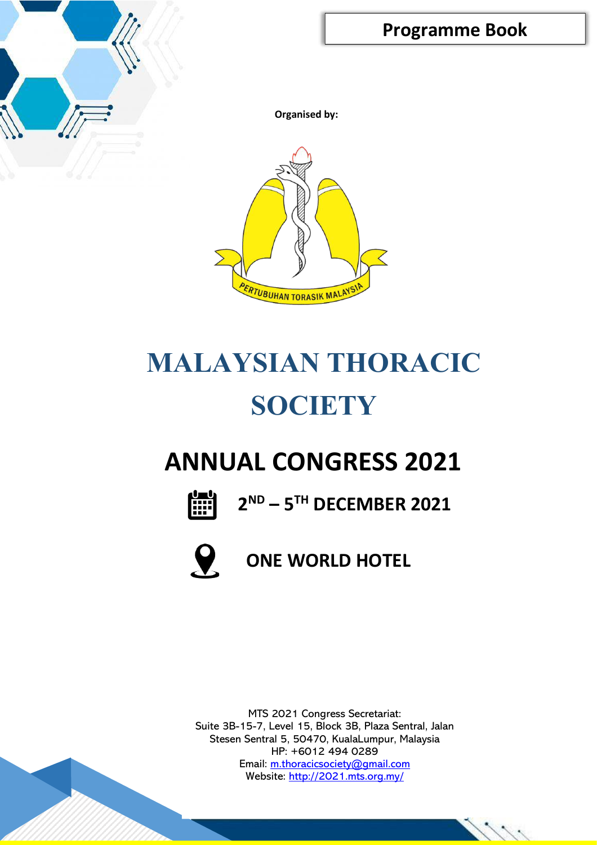

**Organised by:**



# **MALAYSIAN THORACIC SOCIETY**

## **ANNUAL CONGRESS 2021**



**2ND – 5TH DECEMBER 2021**



## **ONE WORLD HOTEL**

MTS 2021 Congress Secretariat: Suite 3B-15-7, Level 15, Block 3B, Plaza Sentral, Jalan Stesen Sentral 5, 50470, KualaLumpur, Malaysia HP: +6012 494 0289 Email: [m.thoracicsociety@gmail.com](mailto:m.thoracicsociety@gmail.com) Website:<http://2021.mts.org.my/>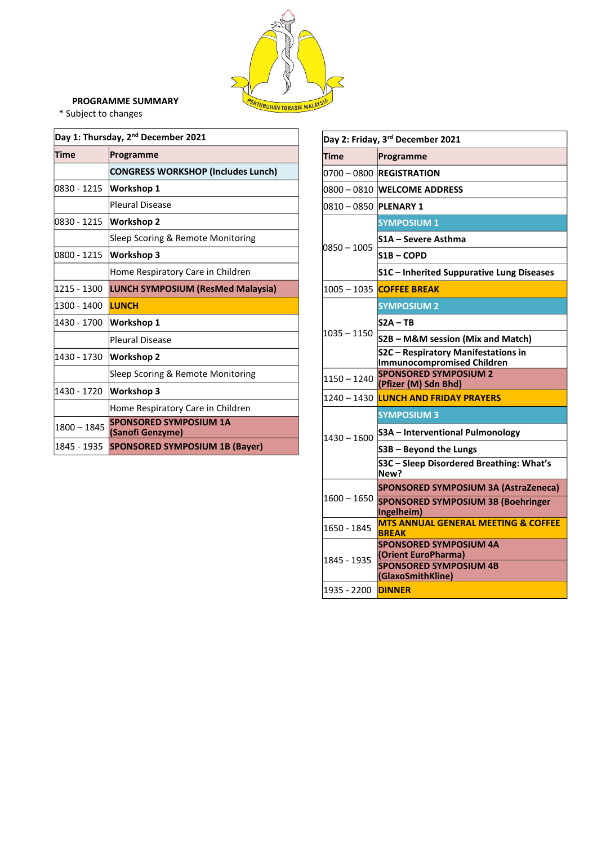

#### **PROGRAMME SUMMARY**

\* Subject to changes

| Day 1: Thursday, 2 <sup>nd</sup> December 2021 |                                                   |  |
|------------------------------------------------|---------------------------------------------------|--|
| Time                                           | Programme                                         |  |
|                                                | <b>CONGRESS WORKSHOP (Includes Lunch)</b>         |  |
| 0830 - 1215                                    | <b>Workshop 1</b>                                 |  |
|                                                | <b>Pleural Disease</b>                            |  |
| 0830 - 1215                                    | <b>Workshop 2</b>                                 |  |
|                                                | Sleep Scoring & Remote Monitoring                 |  |
| 0800 - 1215                                    | <b>Workshop 3</b>                                 |  |
|                                                | Home Respiratory Care in Children                 |  |
| 1215 - 1300                                    | <b>LUNCH SYMPOSIUM (ResMed Malaysia)</b>          |  |
| 1300 - 1400                                    | <b>LUNCH</b>                                      |  |
| 1430 - 1700                                    | Workshop 1                                        |  |
|                                                | <b>Pleural Disease</b>                            |  |
| 1430 - 1730                                    | <b>Workshop 2</b>                                 |  |
|                                                | Sleep Scoring & Remote Monitoring                 |  |
| 1430 - 1720                                    | Workshop 3                                        |  |
|                                                | Home Respiratory Care in Children                 |  |
| 1800 - 1845                                    | <b>SPONSORED SYMPOSIUM 1A</b><br>(Sanofi Genzyme) |  |
| 1845 - 1935                                    | <b>SPONSORED SYMPOSIUM 1B (Bayer)</b>             |  |

|                                | Day 2: Friday, 3rd December 2021                                                                           |
|--------------------------------|------------------------------------------------------------------------------------------------------------|
| Time                           | Programme                                                                                                  |
|                                | 0700 - 0800 REGISTRATION                                                                                   |
|                                | 0800 – 0810  WEL <b>COME ADDRESS</b>                                                                       |
| 0810 – 0850   <b>PLENARY 1</b> |                                                                                                            |
|                                | <b>SYMPOSIUM 1</b>                                                                                         |
|                                | S1A - Severe Asthma                                                                                        |
| 0850 - 1005                    | S1B – COPD                                                                                                 |
|                                | S1C - Inherited Suppurative Lung Diseases                                                                  |
|                                | 1005 - 1035 COFFEE BREAK                                                                                   |
|                                | <b>SYMPOSIUM 2</b>                                                                                         |
|                                | $S2A - TB$                                                                                                 |
| $1035 - 1150$                  | S2B – M&M session (Mix and Match)                                                                          |
|                                | S2C - Respiratory Manifestations in<br><b>Immunocompromised Children</b>                                   |
| 1150 - 1240                    | <b>SPONSORED SYMPOSIUM 2</b><br>(Pfizer (M) Sdn Bhd)                                                       |
|                                | 1240 - 1430 LUNCH AND FRIDAY PRAYERS                                                                       |
|                                | <b>SYMPOSIUM 3</b>                                                                                         |
| 1430 - 1600                    | S3A - Interventional Pulmonology                                                                           |
|                                | S3B - Beyond the Lungs                                                                                     |
|                                | S3C - Sleep Disordered Breathing: What's<br>New?                                                           |
|                                | SPONSORED SYMPOSIUM 3A (AstraZeneca)                                                                       |
| 1600 – 1650                    | <b>SPONSORED SYMPOSIUM 3B (Boehringer</b><br>Ingelheim)                                                    |
| 1650 - 1845                    | <b>MTS ANNUAL GENERAL MEETING &amp; COFFEE</b><br><b>BREAK</b>                                             |
| 1845 - 1935                    | <b>SPONSORED SYMPOSIUM 4A</b><br>(Orient EuroPharma)<br><b>SPONSORED SYMPOSIUM 4B</b><br>(GlaxoSmithKline) |
| 1935 - 2200                    | <b>DINNER</b>                                                                                              |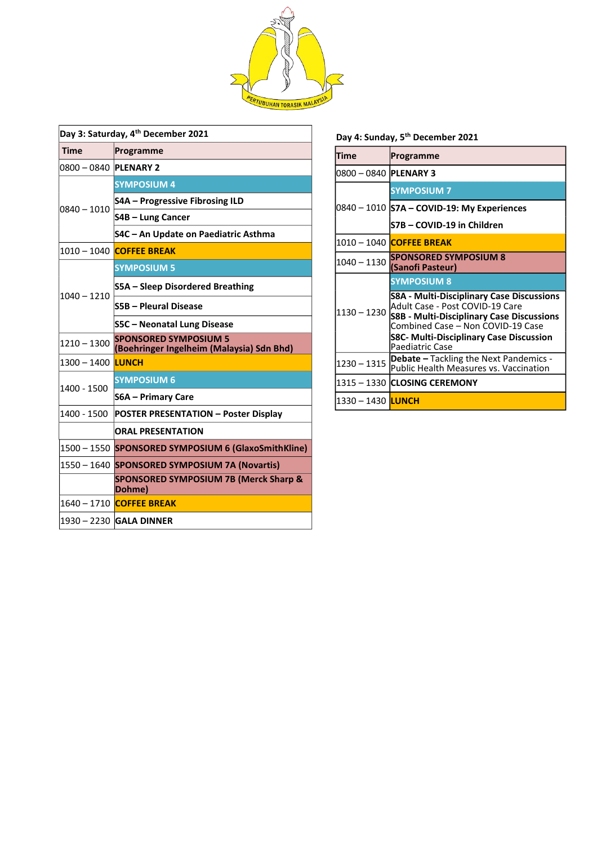

| Day 3: Saturday, 4 <sup>th</sup> December 2021 |                                                                           |  |
|------------------------------------------------|---------------------------------------------------------------------------|--|
| <b>Time</b>                                    | Programme                                                                 |  |
| 0800 - 0840 PLENARY 2                          |                                                                           |  |
|                                                | <b>SYMPOSIUM 4</b>                                                        |  |
| $0840 - 1010$                                  | <b>S4A - Progressive Fibrosing ILD</b>                                    |  |
|                                                | S4B - Lung Cancer                                                         |  |
|                                                | S4C - An Update on Paediatric Asthma                                      |  |
|                                                | 1010 – 1040 <mark> COFFEE BREAK</mark>                                    |  |
|                                                | <b>SYMPOSIUM 5</b>                                                        |  |
|                                                | S5A – Sleep Disordered Breathing                                          |  |
| 1040 – 1210                                    | S5B - Pleural Disease                                                     |  |
|                                                | S5C - Neonatal Lung Disease                                               |  |
| 1210 – 1300                                    | <b>SPONSORED SYMPOSIUM 5</b><br>(Boehringer Ingelheim (Malaysia) Sdn Bhd) |  |
| 1300 - 1400 <mark>LUNCH</mark>                 |                                                                           |  |
| 1400 - 1500                                    | <b>SYMPOSIUM 6</b>                                                        |  |
|                                                | <b>S6A - Primary Care</b>                                                 |  |
| 1400 - 1500                                    | <b>POSTER PRESENTATION - Poster Display</b>                               |  |
|                                                | <b>ORAL PRESENTATION</b>                                                  |  |
|                                                | 1500 - 1550 SPONSORED SYMPOSIUM 6 (GlaxoSmithKline)                       |  |
| $1550 - 1640$                                  | <b>SPONSORED SYMPOSIUM 7A (Novartis)</b>                                  |  |
|                                                | <b>SPONSORED SYMPOSIUM 7B (Merck Sharp &amp;</b><br>Dohme)                |  |
|                                                | 1640 - 1710 COFFEE BREAK                                                  |  |
|                                                | 1930 - 2230 GALA DINNER                                                   |  |

**Day 4: Sunday, 5th December 2021**

| <b>Time</b>                     | Programme                                                                                                                                                                                                                                  |
|---------------------------------|--------------------------------------------------------------------------------------------------------------------------------------------------------------------------------------------------------------------------------------------|
| 0800 - 0840 <b>IPLENARY 3</b>   |                                                                                                                                                                                                                                            |
|                                 | <b>SYMPOSIUM 7</b>                                                                                                                                                                                                                         |
|                                 | 0840 - 1010 S7A - COVID-19: My Experiences                                                                                                                                                                                                 |
|                                 | S7B - COVID-19 in Children                                                                                                                                                                                                                 |
|                                 | 1010 – 1040 <mark>ICOFFEE BREAK</mark>                                                                                                                                                                                                     |
| $1040 - 1130$                   | <b>SPONSORED SYMPOSIUM 8</b><br>(Sanofi Pasteur)                                                                                                                                                                                           |
|                                 | <b>SYMPOSIUM 8</b>                                                                                                                                                                                                                         |
| $1130 - 1230$                   | <b>S8A - Multi-Disciplinary Case Discussions</b><br>Adult Case - Post COVID-19 Care<br><b>S8B - Multi-Disciplinary Case Discussions</b><br>Combined Case - Non COVID-19 Case<br>S8C- Multi-Disciplinary Case Discussion<br>Paediatric Case |
| $1230 - 1315$                   | <b>Debate</b> – Tackling the Next Pandemics -<br>Public Health Measures vs. Vaccination                                                                                                                                                    |
|                                 | 1315 - 1330 <b>ICLOSING CEREMONY</b>                                                                                                                                                                                                       |
| 1330 – 1430 <mark>ILUNCH</mark> |                                                                                                                                                                                                                                            |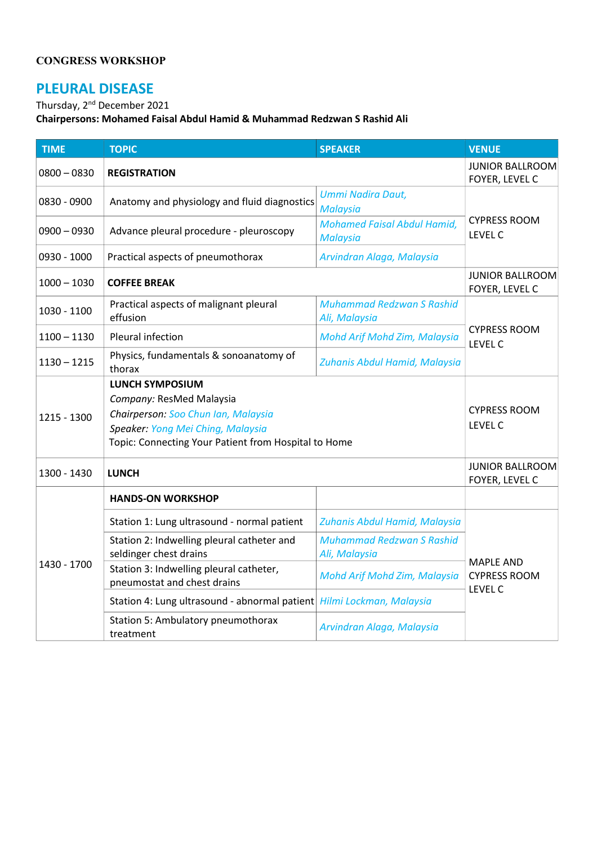#### **CONGRESS WORKSHOP**

## **PLEURAL DISEASE**

Thursday, 2nd December 2021

**Chairpersons: Mohamed Faisal Abdul Hamid & Muhammad Redzwan S Rashid Ali**

| <b>TIME</b>   | <b>TOPIC</b>                                                                                                                                                                           | <b>SPEAKER</b>                                        | <b>VENUE</b>                                       |
|---------------|----------------------------------------------------------------------------------------------------------------------------------------------------------------------------------------|-------------------------------------------------------|----------------------------------------------------|
| $0800 - 0830$ | <b>REGISTRATION</b>                                                                                                                                                                    |                                                       | <b>JUNIOR BALLROOM</b><br>FOYER, LEVEL C           |
| 0830 - 0900   | Anatomy and physiology and fluid diagnostics                                                                                                                                           | Ummi Nadira Daut,<br><b>Malaysia</b>                  |                                                    |
| $0900 - 0930$ | Advance pleural procedure - pleuroscopy                                                                                                                                                | <b>Mohamed Faisal Abdul Hamid,</b><br><b>Malaysia</b> | <b>CYPRESS ROOM</b><br><b>LEVEL C</b>              |
| 0930 - 1000   | Practical aspects of pneumothorax                                                                                                                                                      | Arvindran Alaga, Malaysia                             |                                                    |
| $1000 - 1030$ | <b>COFFEE BREAK</b>                                                                                                                                                                    |                                                       | <b>JUNIOR BALLROOM</b><br>FOYER, LEVEL C           |
| 1030 - 1100   | Practical aspects of malignant pleural<br>effusion                                                                                                                                     | <b>Muhammad Redzwan S Rashid</b><br>Ali, Malaysia     |                                                    |
| $1100 - 1130$ | Pleural infection                                                                                                                                                                      | Mohd Arif Mohd Zim, Malaysia                          | <b>CYPRESS ROOM</b><br><b>LEVEL C</b>              |
| $1130 - 1215$ | Physics, fundamentals & sonoanatomy of<br>thorax                                                                                                                                       | Zuhanis Abdul Hamid, Malaysia                         |                                                    |
| 1215 - 1300   | <b>LUNCH SYMPOSIUM</b><br>Company: ResMed Malaysia<br>Chairperson: Soo Chun Ian, Malaysia<br>Speaker: Yong Mei Ching, Malaysia<br>Topic: Connecting Your Patient from Hospital to Home |                                                       | <b>CYPRESS ROOM</b><br>LEVEL C                     |
| 1300 - 1430   | <b>LUNCH</b>                                                                                                                                                                           |                                                       | <b>JUNIOR BALLROOM</b><br>FOYER, LEVEL C           |
|               | <b>HANDS-ON WORKSHOP</b>                                                                                                                                                               |                                                       |                                                    |
|               | Station 1: Lung ultrasound - normal patient                                                                                                                                            | Zuhanis Abdul Hamid, Malaysia                         |                                                    |
| 1430 - 1700   | Station 2: Indwelling pleural catheter and<br>seldinger chest drains                                                                                                                   | <b>Muhammad Redzwan S Rashid</b><br>Ali, Malaysia     | <b>MAPLE AND</b><br><b>CYPRESS ROOM</b><br>LEVEL C |
|               | Station 3: Indwelling pleural catheter,<br>pneumostat and chest drains                                                                                                                 | Mohd Arif Mohd Zim, Malaysia                          |                                                    |
|               | Station 4: Lung ultrasound - abnormal patient Hilmi Lockman, Malaysia                                                                                                                  |                                                       |                                                    |
|               | Station 5: Ambulatory pneumothorax<br>treatment                                                                                                                                        | Arvindran Alaga, Malaysia                             |                                                    |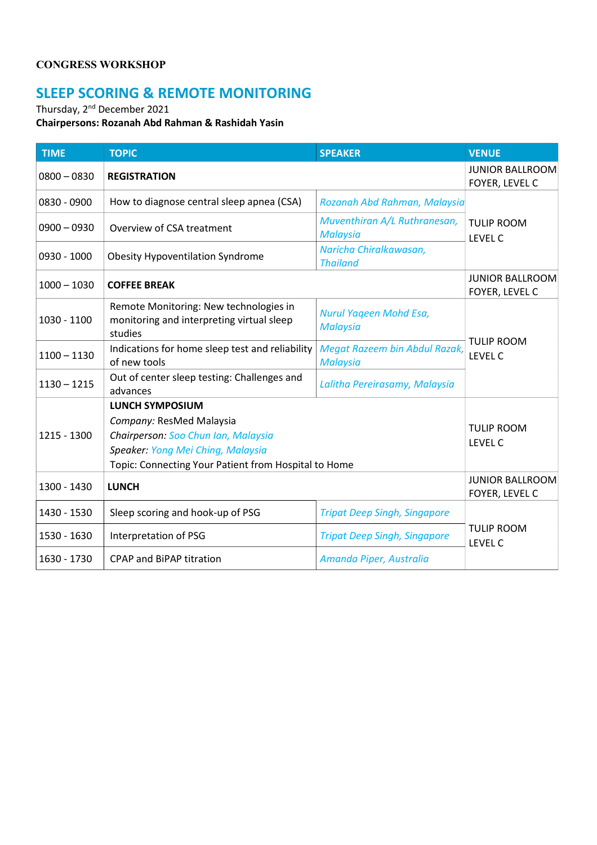#### **CONGRESS WORKSHOP**

## **SLEEP SCORING & REMOTE MONITORING**

Thursday, 2<sup>nd</sup> December 2021

**Chairpersons: Rozanah Abd Rahman & Rashidah Yasin**

| <b>TIME</b>   | <b>TOPIC</b>                                                                                                                                                                           | <b>SPEAKER</b>                                   | <b>VENUE</b>                             |  |
|---------------|----------------------------------------------------------------------------------------------------------------------------------------------------------------------------------------|--------------------------------------------------|------------------------------------------|--|
| $0800 - 0830$ | <b>REGISTRATION</b>                                                                                                                                                                    |                                                  | <b>JUNIOR BALLROOM</b><br>FOYER, LEVEL C |  |
| 0830 - 0900   | How to diagnose central sleep apnea (CSA)                                                                                                                                              | Rozanah Abd Rahman, Malaysia                     |                                          |  |
| $0900 - 0930$ | Overview of CSA treatment                                                                                                                                                              | Muventhiran A/L Ruthranesan,<br><b>Malaysia</b>  | <b>TULIP ROOM</b><br><b>LEVEL C</b>      |  |
| 0930 - 1000   | <b>Obesity Hypoventilation Syndrome</b>                                                                                                                                                | Naricha Chiralkawasan,<br><b>Thailand</b>        |                                          |  |
| $1000 - 1030$ | <b>COFFEE BREAK</b>                                                                                                                                                                    |                                                  | <b>JUNIOR BALLROOM</b><br>FOYER, LEVEL C |  |
| 1030 - 1100   | Remote Monitoring: New technologies in<br>monitoring and interpreting virtual sleep<br>studies                                                                                         | Nurul Yageen Mohd Esa,<br><b>Malaysia</b>        |                                          |  |
| $1100 - 1130$ | Indications for home sleep test and reliability<br>of new tools                                                                                                                        | Megat Razeem bin Abdul Razak,<br><b>Malaysia</b> | <b>TULIP ROOM</b><br>LEVEL C             |  |
| $1130 - 1215$ | Out of center sleep testing: Challenges and<br>advances                                                                                                                                | Lalitha Pereirasamy, Malaysia                    |                                          |  |
| 1215 - 1300   | <b>LUNCH SYMPOSIUM</b><br>Company: ResMed Malaysia<br>Chairperson: Soo Chun Ian, Malaysia<br>Speaker: Yong Mei Ching, Malaysia<br>Topic: Connecting Your Patient from Hospital to Home |                                                  | <b>TULIP ROOM</b><br><b>LEVEL C</b>      |  |
| 1300 - 1430   | <b>LUNCH</b>                                                                                                                                                                           |                                                  | <b>JUNIOR BALLROOM</b><br>FOYER, LEVEL C |  |
| 1430 - 1530   | Sleep scoring and hook-up of PSG                                                                                                                                                       | <b>Tripat Deep Singh, Singapore</b>              |                                          |  |
| 1530 - 1630   | Interpretation of PSG                                                                                                                                                                  | <b>Tripat Deep Singh, Singapore</b>              | <b>TULIP ROOM</b><br><b>LEVEL C</b>      |  |
| 1630 - 1730   | <b>CPAP and BiPAP titration</b>                                                                                                                                                        | Amanda Piper, Australia                          |                                          |  |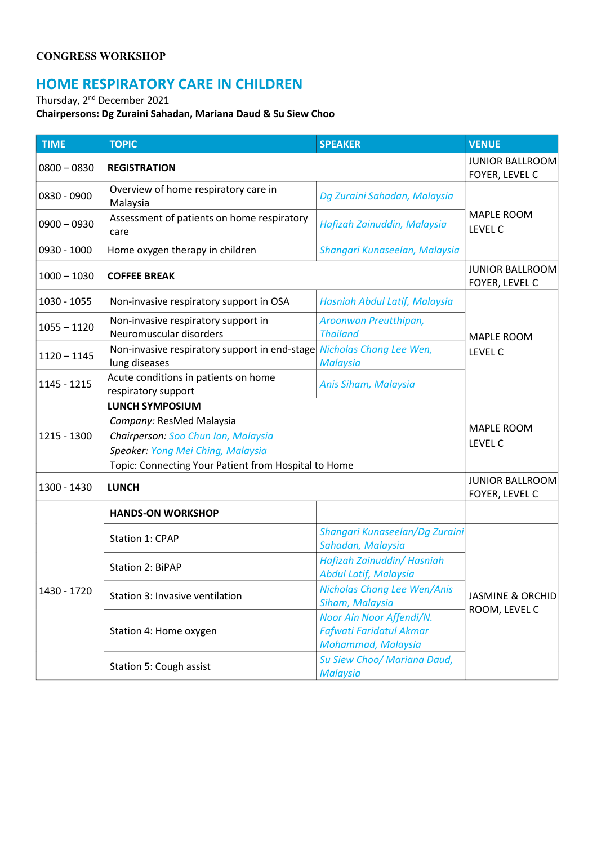#### **CONGRESS WORKSHOP**

### **HOME RESPIRATORY CARE IN CHILDREN**

Thursday, 2<sup>nd</sup> December 2021

#### **Chairpersons: Dg Zuraini Sahadan, Mariana Daud & Su Siew Choo**

| <b>TIME</b>   | <b>TOPIC</b>                                                   | <b>SPEAKER</b>                                                                   | <b>VENUE</b>                                 |  |
|---------------|----------------------------------------------------------------|----------------------------------------------------------------------------------|----------------------------------------------|--|
| $0800 - 0830$ | <b>REGISTRATION</b>                                            |                                                                                  | <b>JUNIOR BALLROOM</b><br>FOYER, LEVEL C     |  |
| 0830 - 0900   | Overview of home respiratory care in<br>Malaysia               | Dg Zuraini Sahadan, Malaysia                                                     |                                              |  |
| $0900 - 0930$ | Assessment of patients on home respiratory<br>care             | Hafizah Zainuddin, Malaysia                                                      | <b>MAPLE ROOM</b><br><b>LEVEL C</b>          |  |
| 0930 - 1000   | Home oxygen therapy in children                                | Shangari Kunaseelan, Malaysia                                                    |                                              |  |
| $1000 - 1030$ | <b>COFFEE BREAK</b>                                            |                                                                                  | <b>JUNIOR BALLROOM</b><br>FOYER, LEVEL C     |  |
| 1030 - 1055   | Non-invasive respiratory support in OSA                        | Hasniah Abdul Latif, Malaysia                                                    |                                              |  |
| $1055 - 1120$ | Non-invasive respiratory support in<br>Neuromuscular disorders | Aroonwan Preutthipan,<br><b>Thailand</b>                                         | <b>MAPLE ROOM</b>                            |  |
| $1120 - 1145$ | Non-invasive respiratory support in end-stage<br>lung diseases | Nicholas Chang Lee Wen,<br><b>Malaysia</b>                                       | <b>LEVEL C</b>                               |  |
| 1145 - 1215   | Acute conditions in patients on home<br>respiratory support    | Anis Siham, Malaysia                                                             |                                              |  |
|               | <b>LUNCH SYMPOSIUM</b>                                         |                                                                                  |                                              |  |
|               | Company: ResMed Malaysia                                       |                                                                                  | <b>MAPLE ROOM</b><br>LEVEL C                 |  |
| 1215 - 1300   | Chairperson: Soo Chun Ian, Malaysia                            |                                                                                  |                                              |  |
|               | Speaker: Yong Mei Ching, Malaysia                              |                                                                                  |                                              |  |
|               | Topic: Connecting Your Patient from Hospital to Home           |                                                                                  |                                              |  |
| 1300 - 1430   | <b>LUNCH</b>                                                   |                                                                                  | <b>JUNIOR BALLROOM</b><br>FOYER, LEVEL C     |  |
|               | <b>HANDS-ON WORKSHOP</b>                                       |                                                                                  |                                              |  |
| 1430 - 1720   | Station 1: CPAP                                                | Shangari Kunaseelan/Dg Zuraini<br>Sahadan, Malaysia                              |                                              |  |
|               | Station 2: BiPAP                                               | Hafizah Zainuddin/Hasniah<br><b>Abdul Latif, Malaysia</b>                        | <b>JASMINE &amp; ORCHID</b><br>ROOM, LEVEL C |  |
|               | Station 3: Invasive ventilation                                | Nicholas Chang Lee Wen/Anis<br>Siham, Malaysia                                   |                                              |  |
|               | Station 4: Home oxygen                                         | Noor Ain Noor Affendi/N.<br><b>Fafwati Faridatul Akmar</b><br>Mohammad, Malaysia |                                              |  |
|               | Station 5: Cough assist                                        | Su Siew Choo/ Mariana Daud,<br><b>Malaysia</b>                                   |                                              |  |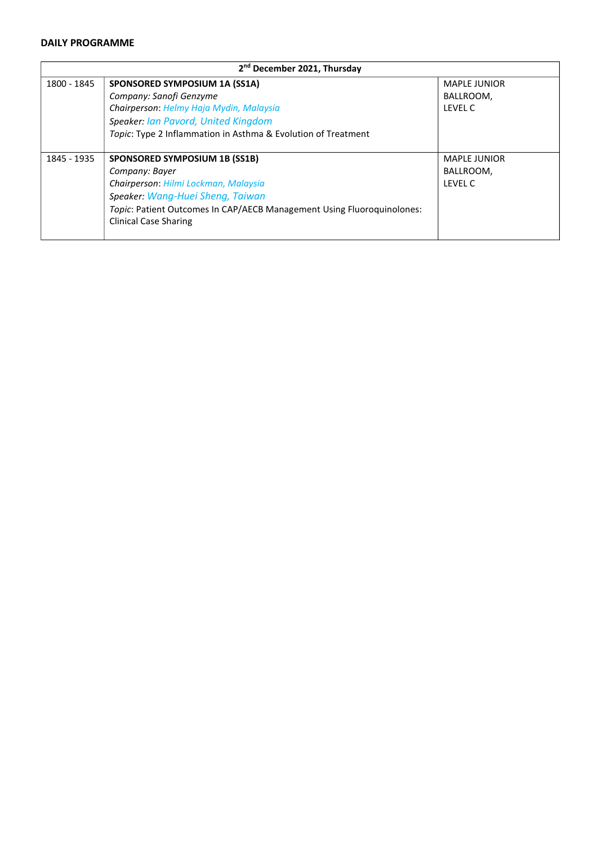| 2 <sup>nd</sup> December 2021, Thursday |                                                                        |                     |  |
|-----------------------------------------|------------------------------------------------------------------------|---------------------|--|
| 1800 - 1845                             | SPONSORED SYMPOSIUM 1A (SS1A)                                          | <b>MAPLE JUNIOR</b> |  |
|                                         | Company: Sanofi Genzyme                                                | BALLROOM,           |  |
|                                         | Chairperson: Helmy Haja Mydin, Malaysia                                | LEVEL C             |  |
|                                         | Speaker: Ian Pavord, United Kingdom                                    |                     |  |
|                                         | Topic: Type 2 Inflammation in Asthma & Evolution of Treatment          |                     |  |
| 1845 - 1935                             | SPONSORED SYMPOSIUM 1B (SS1B)                                          | <b>MAPLE JUNIOR</b> |  |
|                                         | Company: Bayer                                                         | BALLROOM,           |  |
|                                         | Chairperson: Hilmi Lockman, Malaysia                                   | LEVEL C             |  |
|                                         | Speaker: Wang-Huei Sheng, Taiwan                                       |                     |  |
|                                         | Topic: Patient Outcomes In CAP/AECB Management Using Fluoroquinolones: |                     |  |
|                                         | <b>Clinical Case Sharing</b>                                           |                     |  |
|                                         |                                                                        |                     |  |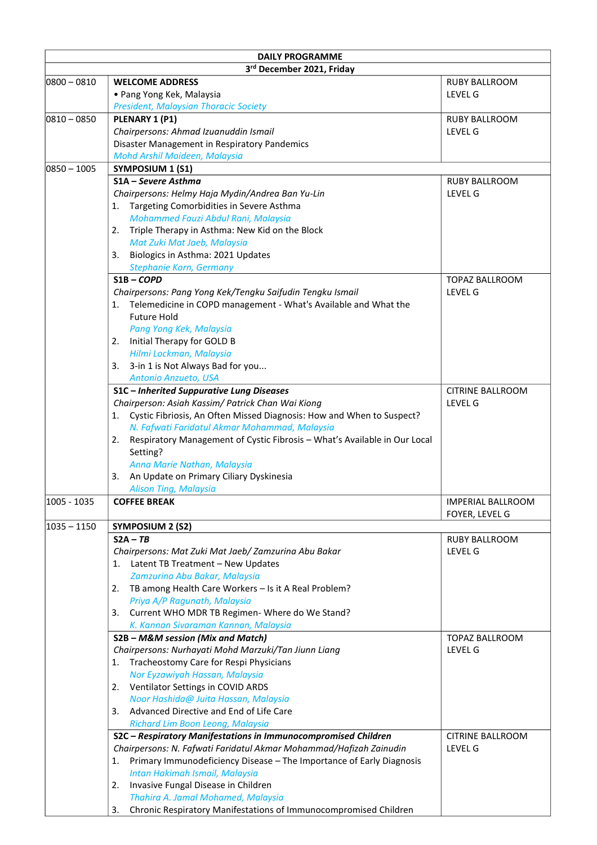| <b>DAILY PROGRAMME</b><br>3rd December 2021, Friday |                                                                                                                                      |                                            |  |
|-----------------------------------------------------|--------------------------------------------------------------------------------------------------------------------------------------|--------------------------------------------|--|
| $ 0800 - 0810 $                                     | <b>WELCOME ADDRESS</b>                                                                                                               | <b>RUBY BALLROOM</b>                       |  |
|                                                     | • Pang Yong Kek, Malaysia                                                                                                            | LEVEL G                                    |  |
|                                                     | <b>President, Malaysian Thoracic Society</b>                                                                                         |                                            |  |
| $ 0810 - 0850 $                                     | PLENARY 1 (P1)                                                                                                                       | <b>RUBY BALLROOM</b>                       |  |
|                                                     | Chairpersons: Ahmad Izuanuddin Ismail                                                                                                | <b>LEVEL G</b>                             |  |
|                                                     | Disaster Management in Respiratory Pandemics                                                                                         |                                            |  |
|                                                     | Mohd Arshil Moideen, Malaysia                                                                                                        |                                            |  |
| $ 0850 - 1005$                                      | SYMPOSIUM 1 (S1)                                                                                                                     |                                            |  |
|                                                     | S1A – Severe Asthma                                                                                                                  | <b>RUBY BALLROOM</b>                       |  |
|                                                     | Chairpersons: Helmy Haja Mydin/Andrea Ban Yu-Lin                                                                                     | <b>LEVEL G</b>                             |  |
|                                                     | Targeting Comorbidities in Severe Asthma<br>1.                                                                                       |                                            |  |
|                                                     | Mohammed Fauzi Abdul Rani, Malaysia                                                                                                  |                                            |  |
|                                                     | Triple Therapy in Asthma: New Kid on the Block<br>2.                                                                                 |                                            |  |
|                                                     | Mat Zuki Mat Jaeb, Malaysia                                                                                                          |                                            |  |
|                                                     | Biologics in Asthma: 2021 Updates<br>3.                                                                                              |                                            |  |
|                                                     | Stephanie Korn, Germany                                                                                                              |                                            |  |
|                                                     | $S1B$ – COPD                                                                                                                         | <b>TOPAZ BALLROOM</b>                      |  |
|                                                     | Chairpersons: Pang Yong Kek/Tengku Saifudin Tengku Ismail                                                                            | LEVEL G                                    |  |
|                                                     | Telemedicine in COPD management - What's Available and What the<br>1.                                                                |                                            |  |
|                                                     | <b>Future Hold</b>                                                                                                                   |                                            |  |
|                                                     | Pang Yong Kek, Malaysia                                                                                                              |                                            |  |
|                                                     | Initial Therapy for GOLD B<br>2.                                                                                                     |                                            |  |
|                                                     | Hilmi Lockman, Malaysia                                                                                                              |                                            |  |
|                                                     | 3-in 1 is Not Always Bad for you<br>3.                                                                                               |                                            |  |
|                                                     | Antonio Anzueto, USA                                                                                                                 |                                            |  |
|                                                     | S1C - Inherited Suppurative Lung Diseases                                                                                            | <b>CITRINE BALLROOM</b>                    |  |
|                                                     | Chairperson: Asiah Kassim/ Patrick Chan Wai Kiong                                                                                    | LEVEL G                                    |  |
|                                                     | Cystic Fibriosis, An Often Missed Diagnosis: How and When to Suspect?<br>1.                                                          |                                            |  |
|                                                     | N. Fafwati Faridatul Akmar Mohammad, Malaysia                                                                                        |                                            |  |
|                                                     | Respiratory Management of Cystic Fibrosis - What's Available in Our Local<br>2.                                                      |                                            |  |
|                                                     | Setting?                                                                                                                             |                                            |  |
|                                                     | Anna Marie Nathan, Malaysia                                                                                                          |                                            |  |
|                                                     | An Update on Primary Ciliary Dyskinesia<br>3.                                                                                        |                                            |  |
|                                                     | Alison Ting, Malaysia                                                                                                                |                                            |  |
| 1005 - 1035                                         | <b>COFFEE BREAK</b>                                                                                                                  | <b>IMPERIAL BALLROOM</b><br>FOYER, LEVEL G |  |
| $ 1035 - 1150$                                      | <b>SYMPOSIUM 2 (S2)</b>                                                                                                              |                                            |  |
|                                                     | $S2A - TB$                                                                                                                           | <b>RUBY BALLROOM</b>                       |  |
|                                                     | Chairpersons: Mat Zuki Mat Jaeb/ Zamzurina Abu Bakar                                                                                 | LEVEL G                                    |  |
|                                                     | Latent TB Treatment - New Updates<br>1.                                                                                              |                                            |  |
|                                                     | Zamzurina Abu Bakar, Malaysia                                                                                                        |                                            |  |
|                                                     | TB among Health Care Workers - Is it A Real Problem?<br>2.                                                                           |                                            |  |
|                                                     | Priya A/P Ragunath, Malaysia                                                                                                         |                                            |  |
|                                                     | Current WHO MDR TB Regimen- Where do We Stand?<br>3.                                                                                 |                                            |  |
|                                                     | K. Kannan Sivaraman Kannan, Malaysia                                                                                                 |                                            |  |
|                                                     | S2B - M&M session (Mix and Match)                                                                                                    | TOPAZ BALLROOM                             |  |
|                                                     | Chairpersons: Nurhayati Mohd Marzuki/Tan Jiunn Liang                                                                                 | LEVEL G                                    |  |
|                                                     | Tracheostomy Care for Respi Physicians<br>1.                                                                                         |                                            |  |
|                                                     | Nor Eyzawiyah Hassan, Malaysia                                                                                                       |                                            |  |
|                                                     | Ventilator Settings in COVID ARDS<br>2.                                                                                              |                                            |  |
|                                                     | Noor Hashida@ Juita Hassan, Malaysia                                                                                                 |                                            |  |
|                                                     | Advanced Directive and End of Life Care<br>3.                                                                                        |                                            |  |
|                                                     | Richard Lim Boon Leong, Malaysia                                                                                                     | <b>CITRINE BALLROOM</b>                    |  |
|                                                     | S2C - Respiratory Manifestations in Immunocompromised Children<br>Chairpersons: N. Fafwati Faridatul Akmar Mohammad/Hafizah Zainudin |                                            |  |
|                                                     | Primary Immunodeficiency Disease - The Importance of Early Diagnosis                                                                 | LEVEL G                                    |  |
|                                                     | 1.<br>Intan Hakimah Ismail, Malaysia                                                                                                 |                                            |  |
|                                                     | Invasive Fungal Disease in Children<br>2.                                                                                            |                                            |  |
|                                                     | Thahira A. Jamal Mohamed, Malaysia                                                                                                   |                                            |  |
|                                                     | Chronic Respiratory Manifestations of Immunocompromised Children<br>3.                                                               |                                            |  |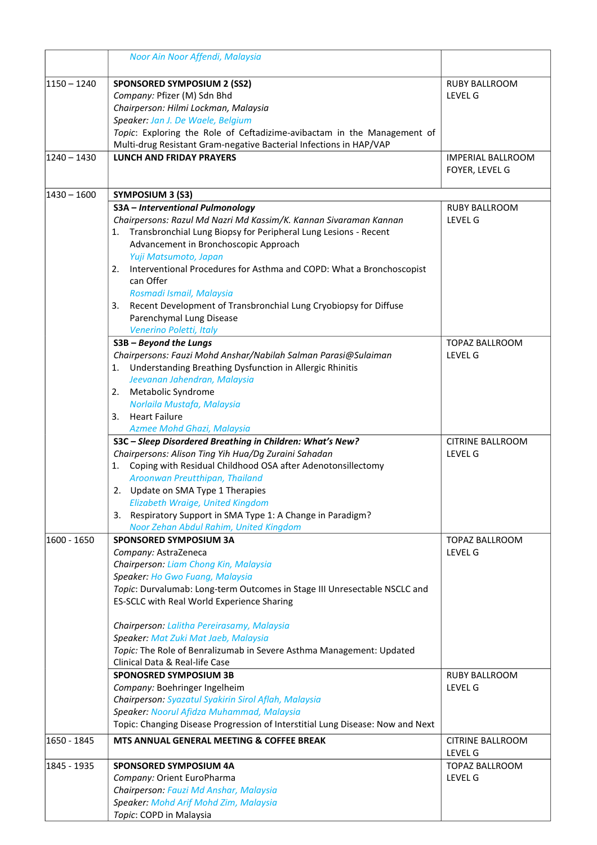|                | Noor Ain Noor Affendi, Malaysia                                                                                |                                 |
|----------------|----------------------------------------------------------------------------------------------------------------|---------------------------------|
| $ 1150 - 1240$ | <b>SPONSORED SYMPOSIUM 2 (SS2)</b><br>Company: Pfizer (M) Sdn Bhd                                              | <b>RUBY BALLROOM</b><br>LEVEL G |
|                | Chairperson: Hilmi Lockman, Malaysia                                                                           |                                 |
|                | Speaker: Jan J. De Waele, Belgium                                                                              |                                 |
|                | Topic: Exploring the Role of Ceftadizime-avibactam in the Management of                                        |                                 |
|                | Multi-drug Resistant Gram-negative Bacterial Infections in HAP/VAP                                             |                                 |
| $1240 - 1430$  | <b>LUNCH AND FRIDAY PRAYERS</b>                                                                                | <b>IMPERIAL BALLROOM</b>        |
|                |                                                                                                                | FOYER, LEVEL G                  |
| $ 1430 - 1600$ | SYMPOSIUM 3 (S3)                                                                                               |                                 |
|                | S3A - Interventional Pulmonology                                                                               | <b>RUBY BALLROOM</b>            |
|                | Chairpersons: Razul Md Nazri Md Kassim/K. Kannan Sivaraman Kannan                                              | LEVEL G                         |
|                | Transbronchial Lung Biopsy for Peripheral Lung Lesions - Recent<br>1.<br>Advancement in Bronchoscopic Approach |                                 |
|                | Yuji Matsumoto, Japan                                                                                          |                                 |
|                | Interventional Procedures for Asthma and COPD: What a Bronchoscopist<br>2.                                     |                                 |
|                | can Offer                                                                                                      |                                 |
|                | Rosmadi Ismail, Malaysia                                                                                       |                                 |
|                | Recent Development of Transbronchial Lung Cryobiopsy for Diffuse<br>3.                                         |                                 |
|                | Parenchymal Lung Disease                                                                                       |                                 |
|                | Venerino Poletti, Italy                                                                                        |                                 |
|                | S3B - Beyond the Lungs                                                                                         | TOPAZ BALLROOM                  |
|                | Chairpersons: Fauzi Mohd Anshar/Nabilah Salman Parasi@Sulaiman                                                 | LEVEL G                         |
|                | Understanding Breathing Dysfunction in Allergic Rhinitis<br>1.                                                 |                                 |
|                | Jeevanan Jahendran, Malaysia                                                                                   |                                 |
|                | Metabolic Syndrome<br>2.                                                                                       |                                 |
|                | Norlaila Mustafa, Malaysia                                                                                     |                                 |
|                | <b>Heart Failure</b><br>3.                                                                                     |                                 |
|                | Azmee Mohd Ghazi, Malaysia                                                                                     |                                 |
|                | S3C - Sleep Disordered Breathing in Children: What's New?                                                      | <b>CITRINE BALLROOM</b>         |
|                | Chairpersons: Alison Ting Yih Hua/Dg Zuraini Sahadan                                                           | LEVEL G                         |
|                | Coping with Residual Childhood OSA after Adenotonsillectomy<br>1.                                              |                                 |
|                | Aroonwan Preutthipan, Thailand                                                                                 |                                 |
|                | 2. Update on SMA Type 1 Therapies<br>Elizabeth Wraige, United Kingdom                                          |                                 |
|                | 3. Respiratory Support in SMA Type 1: A Change in Paradigm?                                                    |                                 |
|                | Noor Zehan Abdul Rahim, United Kingdom                                                                         |                                 |
| 1600 - 1650    | <b>SPONSORED SYMPOSIUM 3A</b>                                                                                  | TOPAZ BALLROOM                  |
|                | Company: AstraZeneca                                                                                           | LEVEL G                         |
|                | Chairperson: Liam Chong Kin, Malaysia                                                                          |                                 |
|                | Speaker: Ho Gwo Fuang, Malaysia                                                                                |                                 |
|                | Topic: Durvalumab: Long-term Outcomes in Stage III Unresectable NSCLC and                                      |                                 |
|                | ES-SCLC with Real World Experience Sharing                                                                     |                                 |
|                | Chairperson: Lalitha Pereirasamy, Malaysia                                                                     |                                 |
|                | Speaker: Mat Zuki Mat Jaeb, Malaysia                                                                           |                                 |
|                | Topic: The Role of Benralizumab in Severe Asthma Management: Updated                                           |                                 |
|                | Clinical Data & Real-life Case                                                                                 |                                 |
|                | <b>SPONOSRED SYMPOSIUM 3B</b>                                                                                  | <b>RUBY BALLROOM</b>            |
|                | Company: Boehringer Ingelheim                                                                                  | LEVEL G                         |
|                | Chairperson: Syazatul Syakirin Sirol Aflah, Malaysia                                                           |                                 |
|                | Speaker: Noorul Afidza Muhammad, Malaysia                                                                      |                                 |
|                | Topic: Changing Disease Progression of Interstitial Lung Disease: Now and Next                                 |                                 |
| 1650 - 1845    | MTS ANNUAL GENERAL MEETING & COFFEE BREAK                                                                      | CITRINE BALLROOM<br>LEVEL G     |
| 1845 - 1935    | <b>SPONSORED SYMPOSIUM 4A</b>                                                                                  | TOPAZ BALLROOM                  |
|                | Company: Orient EuroPharma                                                                                     | LEVEL G                         |
|                | Chairperson: Fauzi Md Anshar, Malaysia                                                                         |                                 |
|                | Speaker: Mohd Arif Mohd Zim, Malaysia                                                                          |                                 |
|                | Topic: COPD in Malaysia                                                                                        |                                 |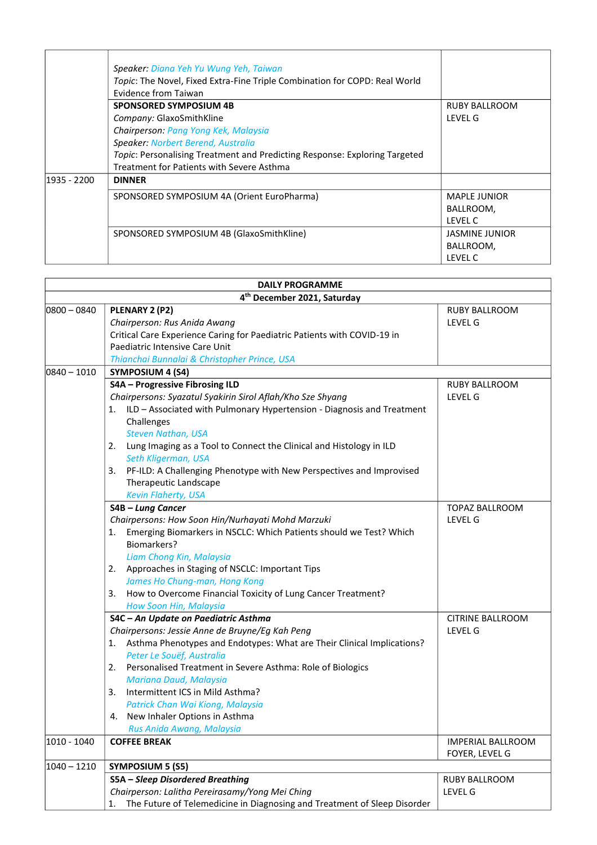|             | Speaker: Diana Yeh Yu Wung Yeh, Taiwan<br>Topic: The Novel, Fixed Extra-Fine Triple Combination for COPD: Real World<br>Evidence from Taiwan |                       |
|-------------|----------------------------------------------------------------------------------------------------------------------------------------------|-----------------------|
|             | <b>SPONSORED SYMPOSIUM 4B</b>                                                                                                                | <b>RUBY BALLROOM</b>  |
|             | Company: GlaxoSmithKline                                                                                                                     | <b>IFVFIG</b>         |
|             | Chairperson: Pang Yong Kek, Malaysia                                                                                                         |                       |
|             | Speaker: Norbert Berend, Australia                                                                                                           |                       |
|             | Topic: Personalising Treatment and Predicting Response: Exploring Targeted                                                                   |                       |
|             | Treatment for Patients with Severe Asthma                                                                                                    |                       |
| 1935 - 2200 | <b>DINNER</b>                                                                                                                                |                       |
|             | SPONSORED SYMPOSIUM 4A (Orient EuroPharma)                                                                                                   | <b>MAPLE JUNIOR</b>   |
|             |                                                                                                                                              | BALLROOM,             |
|             |                                                                                                                                              | LEVEL C               |
|             | SPONSORED SYMPOSIUM 4B (GlaxoSmithKline)                                                                                                     | <b>JASMINE JUNIOR</b> |
|             |                                                                                                                                              | BALLROOM,             |
|             |                                                                                                                                              | LEVEL C               |

| <b>DAILY PROGRAMME</b> |                                                                                |                          |  |
|------------------------|--------------------------------------------------------------------------------|--------------------------|--|
|                        | 4 <sup>th</sup> December 2021, Saturday                                        |                          |  |
| $ 0800 - 0840$         | PLENARY 2 (P2)                                                                 | RUBY BALLROOM            |  |
|                        | Chairperson: Rus Anida Awang                                                   | <b>LEVEL G</b>           |  |
|                        | Critical Care Experience Caring for Paediatric Patients with COVID-19 in       |                          |  |
|                        | Paediatric Intensive Care Unit                                                 |                          |  |
|                        | Thianchai Bunnalai & Christopher Prince, USA                                   |                          |  |
| $ 0840 - 1010$         | SYMPOSIUM 4 (S4)                                                               |                          |  |
|                        | S4A - Progressive Fibrosing ILD                                                | <b>RUBY BALLROOM</b>     |  |
|                        | Chairpersons: Syazatul Syakirin Sirol Aflah/Kho Sze Shyang                     | LEVEL G                  |  |
|                        | 1. ILD - Associated with Pulmonary Hypertension - Diagnosis and Treatment      |                          |  |
|                        | Challenges                                                                     |                          |  |
|                        | <b>Steven Nathan, USA</b>                                                      |                          |  |
|                        | Lung Imaging as a Tool to Connect the Clinical and Histology in ILD<br>2.      |                          |  |
|                        | Seth Kligerman, USA                                                            |                          |  |
|                        | 3. PF-ILD: A Challenging Phenotype with New Perspectives and Improvised        |                          |  |
|                        | Therapeutic Landscape                                                          |                          |  |
|                        | Kevin Flaherty, USA                                                            |                          |  |
|                        | S4B - Lung Cancer                                                              | <b>TOPAZ BALLROOM</b>    |  |
|                        | Chairpersons: How Soon Hin/Nurhayati Mohd Marzuki                              | LEVEL G                  |  |
|                        | Emerging Biomarkers in NSCLC: Which Patients should we Test? Which<br>1.       |                          |  |
|                        | Biomarkers?                                                                    |                          |  |
|                        | Liam Chong Kin, Malaysia                                                       |                          |  |
|                        | Approaches in Staging of NSCLC: Important Tips<br>2.                           |                          |  |
|                        | James Ho Chung-man, Hong Kong                                                  |                          |  |
|                        | How to Overcome Financial Toxicity of Lung Cancer Treatment?<br>3.             |                          |  |
|                        | How Soon Hin, Malaysia                                                         |                          |  |
|                        | S4C - An Update on Paediatric Asthma                                           | <b>CITRINE BALLROOM</b>  |  |
|                        | Chairpersons: Jessie Anne de Bruyne/Eg Kah Peng                                | <b>LEVEL G</b>           |  |
|                        | 1. Asthma Phenotypes and Endotypes: What are Their Clinical Implications?      |                          |  |
|                        | Peter Le Souëf, Australia                                                      |                          |  |
|                        | Personalised Treatment in Severe Asthma: Role of Biologics<br>2.               |                          |  |
|                        | Mariana Daud, Malaysia                                                         |                          |  |
|                        | Intermittent ICS in Mild Asthma?<br>3.                                         |                          |  |
|                        | Patrick Chan Wai Kiong, Malaysia                                               |                          |  |
|                        | 4. New Inhaler Options in Asthma                                               |                          |  |
|                        | Rus Anida Awang, Malaysia                                                      |                          |  |
| 1010 - 1040            | <b>COFFEE BREAK</b>                                                            | <b>IMPERIAL BALLROOM</b> |  |
|                        |                                                                                | FOYER, LEVEL G           |  |
| $1040 - 1210$          | <b>SYMPOSIUM 5 (S5)</b>                                                        |                          |  |
|                        | <b>S5A - Sleep Disordered Breathing</b>                                        | RUBY BALLROOM            |  |
|                        | Chairperson: Lalitha Pereirasamy/Yong Mei Ching                                | LEVEL G                  |  |
|                        | The Future of Telemedicine in Diagnosing and Treatment of Sleep Disorder<br>1. |                          |  |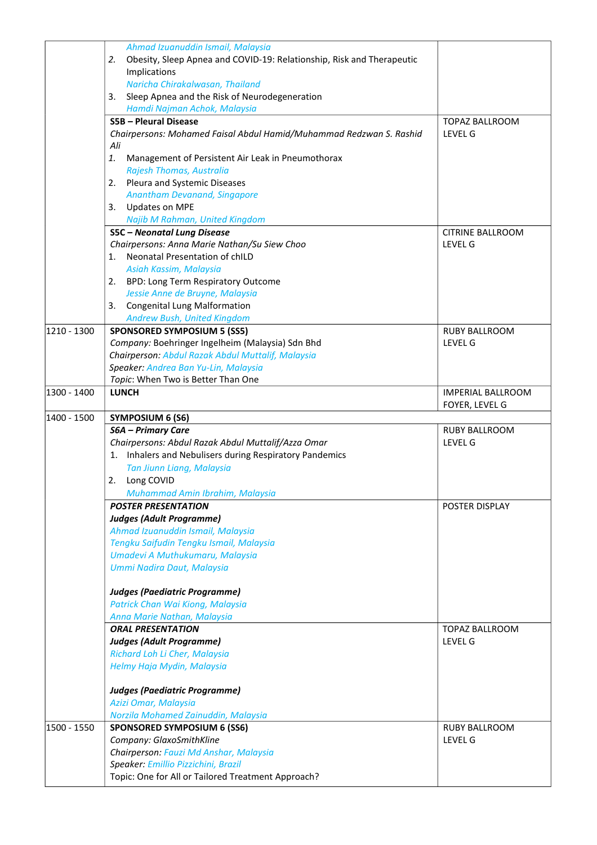|             | Ahmad Izuanuddin Ismail, Malaysia<br>Obesity, Sleep Apnea and COVID-19: Relationship, Risk and Therapeutic<br>2.<br>Implications<br>Naricha Chirakalwasan, Thailand |                                        |
|-------------|---------------------------------------------------------------------------------------------------------------------------------------------------------------------|----------------------------------------|
|             | Sleep Apnea and the Risk of Neurodegeneration<br>3.                                                                                                                 |                                        |
|             | Hamdi Najman Achok, Malaysia<br><b>S5B - Pleural Disease</b>                                                                                                        |                                        |
|             | Chairpersons: Mohamed Faisal Abdul Hamid/Muhammad Redzwan S. Rashid<br>Ali                                                                                          | TOPAZ BALLROOM<br><b>LEVEL G</b>       |
|             | 1.<br>Management of Persistent Air Leak in Pneumothorax<br>Rajesh Thomas, Australia                                                                                 |                                        |
|             | Pleura and Systemic Diseases<br>2.<br>Anantham Devanand, Singapore                                                                                                  |                                        |
|             | <b>Updates on MPE</b><br>3.                                                                                                                                         |                                        |
|             | Najib M Rahman, United Kingdom                                                                                                                                      |                                        |
|             | <b>S5C</b> - Neonatal Lung Disease                                                                                                                                  | CITRINE BALLROOM                       |
|             | Chairpersons: Anna Marie Nathan/Su Siew Choo                                                                                                                        | LEVEL G                                |
|             | Neonatal Presentation of chILD<br>1.                                                                                                                                |                                        |
|             | Asiah Kassim, Malaysia                                                                                                                                              |                                        |
|             | 2. BPD: Long Term Respiratory Outcome                                                                                                                               |                                        |
|             | Jessie Anne de Bruyne, Malaysia                                                                                                                                     |                                        |
|             | <b>Congenital Lung Malformation</b><br>3.                                                                                                                           |                                        |
| 1210 - 1300 | Andrew Bush, United Kingdom<br><b>SPONSORED SYMPOSIUM 5 (SS5)</b>                                                                                                   | <b>RUBY BALLROOM</b>                   |
|             | Company: Boehringer Ingelheim (Malaysia) Sdn Bhd                                                                                                                    | LEVEL G                                |
|             | Chairperson: Abdul Razak Abdul Muttalif, Malaysia                                                                                                                   |                                        |
|             | Speaker: Andrea Ban Yu-Lin, Malaysia                                                                                                                                |                                        |
|             | Topic: When Two is Better Than One                                                                                                                                  |                                        |
| 1300 - 1400 | <b>LUNCH</b>                                                                                                                                                        | <b>IMPERIAL BALLROOM</b>               |
|             |                                                                                                                                                                     | FOYER, LEVEL G                         |
| 1400 - 1500 | <b>SYMPOSIUM 6 (S6)</b>                                                                                                                                             |                                        |
|             |                                                                                                                                                                     |                                        |
|             |                                                                                                                                                                     |                                        |
|             | <b>S6A - Primary Care</b>                                                                                                                                           | <b>RUBY BALLROOM</b><br><b>LEVEL G</b> |
|             | Chairpersons: Abdul Razak Abdul Muttalif/Azza Omar                                                                                                                  |                                        |
|             | 1. Inhalers and Nebulisers during Respiratory Pandemics                                                                                                             |                                        |
|             | Tan Jiunn Liang, Malaysia<br>2.                                                                                                                                     |                                        |
|             | Long COVID                                                                                                                                                          |                                        |
|             | Muhammad Amin Ibrahim, Malaysia<br><b>POSTER PRESENTATION</b>                                                                                                       | POSTER DISPLAY                         |
|             |                                                                                                                                                                     |                                        |
|             | <b>Judges (Adult Programme)</b>                                                                                                                                     |                                        |
|             | Ahmad Izuanuddin Ismail, Malaysia                                                                                                                                   |                                        |
|             | Tengku Saifudin Tengku Ismail, Malaysia<br>Umadevi A Muthukumaru, Malaysia                                                                                          |                                        |
|             | Ummi Nadira Daut, Malaysia                                                                                                                                          |                                        |
|             |                                                                                                                                                                     |                                        |
|             | <b>Judges (Paediatric Programme)</b>                                                                                                                                |                                        |
|             | Patrick Chan Wai Kiong, Malaysia<br>Anna Marie Nathan, Malaysia                                                                                                     |                                        |
|             | <b>ORAL PRESENTATION</b>                                                                                                                                            | TOPAZ BALLROOM                         |
|             | <b>Judges (Adult Programme)</b>                                                                                                                                     | <b>LEVEL G</b>                         |
|             | Richard Loh Li Cher, Malaysia                                                                                                                                       |                                        |
|             | Helmy Haja Mydin, Malaysia                                                                                                                                          |                                        |
|             |                                                                                                                                                                     |                                        |
|             | <b>Judges (Paediatric Programme)</b>                                                                                                                                |                                        |
|             | Azizi Omar, Malaysia                                                                                                                                                |                                        |
|             | Norzila Mohamed Zainuddin, Malaysia                                                                                                                                 |                                        |
| 1500 - 1550 | <b>SPONSORED SYMPOSIUM 6 (SS6)</b>                                                                                                                                  | <b>RUBY BALLROOM</b>                   |
|             | Company: GlaxoSmithKline                                                                                                                                            | LEVEL G                                |
|             | Chairperson: Fauzi Md Anshar, Malaysia                                                                                                                              |                                        |
|             | Speaker: Emillio Pizzichini, Brazil<br>Topic: One for All or Tailored Treatment Approach?                                                                           |                                        |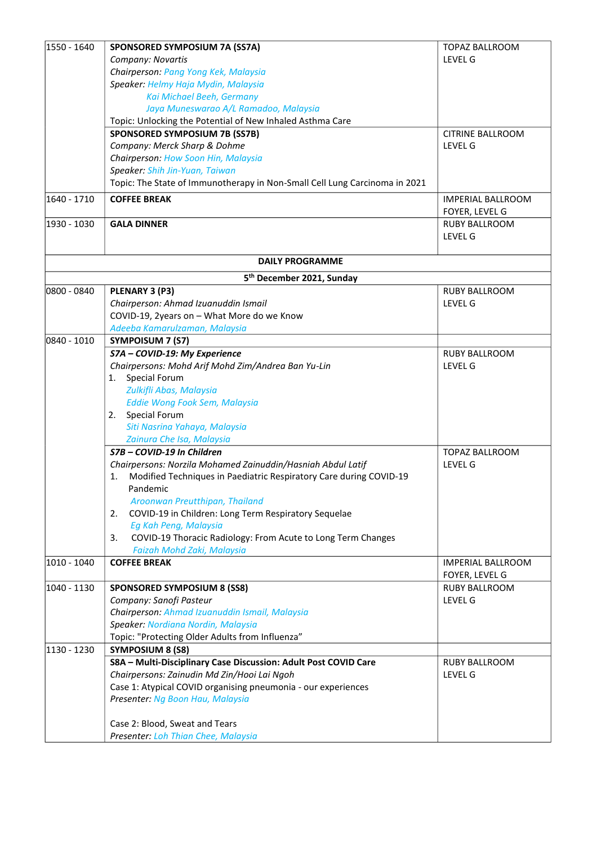| 1550 - 1640 | SPONSORED SYMPOSIUM 7A (SS7A)                                              | <b>TOPAZ BALLROOM</b>               |
|-------------|----------------------------------------------------------------------------|-------------------------------------|
|             | Company: Novartis                                                          | <b>LEVEL G</b>                      |
|             | Chairperson: Pang Yong Kek, Malaysia                                       |                                     |
|             | Speaker: Helmy Haja Mydin, Malaysia                                        |                                     |
|             | Kai Michael Beeh, Germany                                                  |                                     |
|             | Jaya Muneswarao A/L Ramadoo, Malaysia                                      |                                     |
|             | Topic: Unlocking the Potential of New Inhaled Asthma Care                  |                                     |
|             | <b>SPONSORED SYMPOSIUM 7B (SS7B)</b>                                       | <b>CITRINE BALLROOM</b>             |
|             | Company: Merck Sharp & Dohme                                               | <b>LEVEL G</b>                      |
|             | Chairperson: How Soon Hin, Malaysia                                        |                                     |
|             | Speaker: Shih Jin-Yuan, Taiwan                                             |                                     |
|             | Topic: The State of Immunotherapy in Non-Small Cell Lung Carcinoma in 2021 |                                     |
| 1640 - 1710 | <b>COFFEE BREAK</b>                                                        | IMPERIAL BALLROOM<br>FOYER, LEVEL G |
| 1930 - 1030 | <b>GALA DINNER</b>                                                         | RUBY BALLROOM                       |
|             |                                                                            | <b>LEVEL G</b>                      |
|             |                                                                            |                                     |
|             | <b>DAILY PROGRAMME</b>                                                     |                                     |
|             | 5 <sup>th</sup> December 2021, Sunday                                      |                                     |
| 0800 - 0840 | PLENARY 3 (P3)                                                             | RUBY BALLROOM                       |
|             | Chairperson: Ahmad Izuanuddin Ismail                                       | <b>LEVEL G</b>                      |
|             | COVID-19, 2years on - What More do we Know                                 |                                     |
|             | Adeeba Kamarulzaman, Malaysia                                              |                                     |
| 0840 - 1010 | SYMPOISUM 7 (S7)                                                           |                                     |
|             | S7A - COVID-19: My Experience                                              | <b>RUBY BALLROOM</b>                |
|             | Chairpersons: Mohd Arif Mohd Zim/Andrea Ban Yu-Lin                         | <b>LEVEL G</b>                      |
|             | Special Forum<br>1.                                                        |                                     |
|             | Zulkifli Abas, Malaysia                                                    |                                     |
|             | Eddie Wong Fook Sem, Malaysia                                              |                                     |
|             | 2. Special Forum                                                           |                                     |
|             | Siti Nasrina Yahaya, Malaysia                                              |                                     |
|             | Zainura Che Isa, Malaysia                                                  |                                     |
|             | S7B - COVID-19 In Children                                                 | TOPAZ BALLROOM                      |
|             | Chairpersons: Norzila Mohamed Zainuddin/Hasniah Abdul Latif                | LEVEL G                             |
|             | Modified Techniques in Paediatric Respiratory Care during COVID-19<br>1.   |                                     |
|             | Pandemic                                                                   |                                     |
|             | Aroonwan Preutthipan, Thailand                                             |                                     |
|             | COVID-19 in Children: Long Term Respiratory Sequelae<br>2.                 |                                     |
|             | Eg Kah Peng, Malaysia                                                      |                                     |
|             | COVID-19 Thoracic Radiology: From Acute to Long Term Changes<br>3.         |                                     |
|             | Faizah Mohd Zaki, Malaysia                                                 |                                     |
| 1010 - 1040 | <b>COFFEE BREAK</b>                                                        | <b>IMPERIAL BALLROOM</b>            |
| 1040 - 1130 | <b>SPONSORED SYMPOSIUM 8 (SS8)</b>                                         | FOYER, LEVEL G<br>RUBY BALLROOM     |
|             | Company: Sanofi Pasteur                                                    | LEVEL G                             |
|             | Chairperson: Ahmad Izuanuddin Ismail, Malaysia                             |                                     |
|             | Speaker: Nordiana Nordin, Malaysia                                         |                                     |
|             | Topic: "Protecting Older Adults from Influenza"                            |                                     |
| 1130 - 1230 | <b>SYMPOSIUM 8 (S8)</b>                                                    |                                     |
|             | S8A - Multi-Disciplinary Case Discussion: Adult Post COVID Care            | <b>RUBY BALLROOM</b>                |
|             | Chairpersons: Zainudin Md Zin/Hooi Lai Ngoh                                | <b>LEVEL G</b>                      |
|             | Case 1: Atypical COVID organising pneumonia - our experiences              |                                     |
|             | Presenter: Ng Boon Hau, Malaysia                                           |                                     |
|             |                                                                            |                                     |
|             | Case 2: Blood, Sweat and Tears                                             |                                     |
|             | Presenter: Loh Thian Chee, Malaysia                                        |                                     |
|             |                                                                            |                                     |